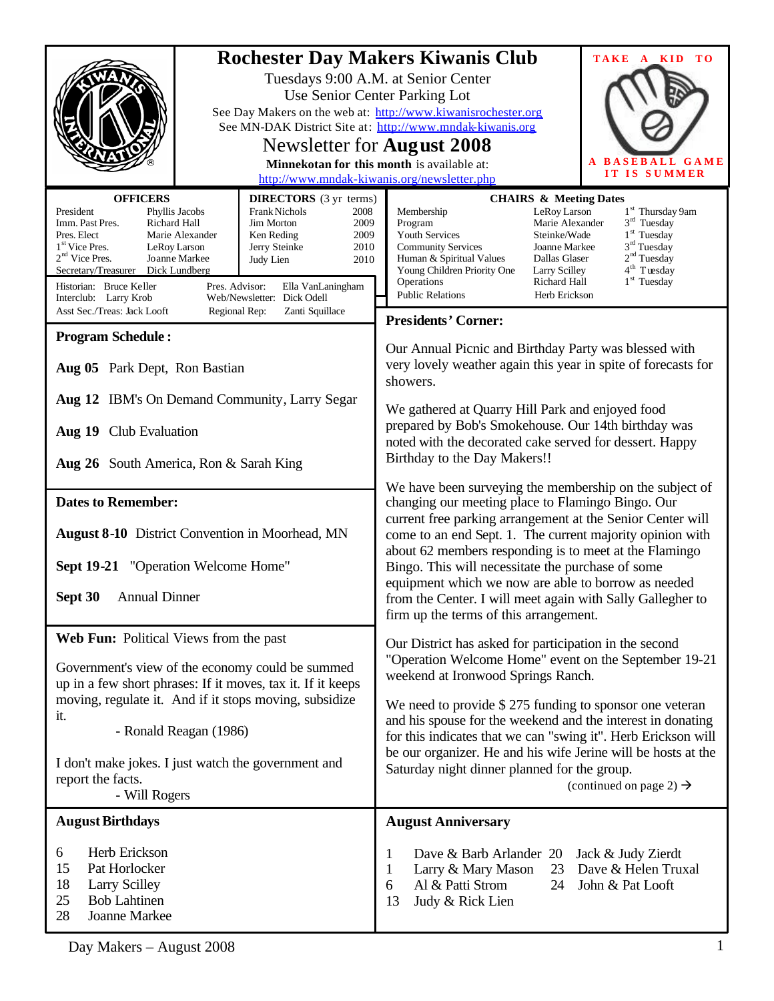|                                                                                                                                                                                                                                                                                                                                                                                                                                                                                                                                                                                                       | <b>Rochester Day Makers Kiwanis Club</b><br>TAKE A KID<br>T <sub>O</sub><br>Tuesdays 9:00 A.M. at Senior Center<br>Use Senior Center Parking Lot<br>See Day Makers on the web at: http://www.kiwanisrochester.org<br>See MN-DAK District Site at: http://www.mndak-kiwanis.org<br>Newsletter for <b>August</b> 2008<br><b>BASEBALL GAME</b><br>Minnekotan for this month is available at:<br>IT IS SUMMER<br>http://www.mndak-kiwanis.org/newsletter.php                                                       |
|-------------------------------------------------------------------------------------------------------------------------------------------------------------------------------------------------------------------------------------------------------------------------------------------------------------------------------------------------------------------------------------------------------------------------------------------------------------------------------------------------------------------------------------------------------------------------------------------------------|----------------------------------------------------------------------------------------------------------------------------------------------------------------------------------------------------------------------------------------------------------------------------------------------------------------------------------------------------------------------------------------------------------------------------------------------------------------------------------------------------------------|
| <b>OFFICERS</b><br><b>DIRECTORS</b> (3 yr terms)<br>President<br>Frank Nichols<br>Phyllis Jacobs<br>2008<br>Imm. Past Pres.<br><b>Richard Hall</b><br>Jim Morton<br>2009<br>Pres. Elect<br>Marie Alexander<br>Ken Reding<br>2009<br>1 <sup>st</sup> Vice Pres.<br>LeRoy Larson<br>Jerry Steinke<br>2010<br>$2nd$ Vice Pres.<br>Joanne Markee<br>Judy Lien<br>2010<br>Secretary/Treasurer<br>Dick Lundberg<br>Historian: Bruce Keller<br>Pres. Advisor:<br>Ella VanLaningham<br>Web/Newsletter: Dick Odell<br>Interclub: Larry Krob<br>Asst Sec./Treas: Jack Looft<br>Zanti Squillace<br>Regional Rep: | <b>CHAIRS &amp; Meeting Dates</b><br>1 <sup>st</sup> Thursday 9am<br>Membership<br>LeRoy Larson<br>$3rd$ Tuesday<br>Program<br>Marie Alexander<br>$1st$ Tuesday<br>Youth Services<br>Steinke/Wade<br>$3rd$ Tuesday<br><b>Community Services</b><br>Joanne Markee<br>2 <sup>nd</sup> Tuesday<br>Human & Spiritual Values<br>Dallas Glaser<br>4 <sup>th</sup> Tuesday<br>Young Children Priority One<br>Larry Scilley<br>$1st$ Tuesday<br>Operations<br>Richard Hall<br><b>Public Relations</b><br>Herb Erickson |
|                                                                                                                                                                                                                                                                                                                                                                                                                                                                                                                                                                                                       | <b>Presidents' Corner:</b>                                                                                                                                                                                                                                                                                                                                                                                                                                                                                     |
| <b>Program Schedule:</b><br>Aug 05 Park Dept, Ron Bastian                                                                                                                                                                                                                                                                                                                                                                                                                                                                                                                                             | Our Annual Picnic and Birthday Party was blessed with<br>very lovely weather again this year in spite of forecasts for<br>showers.                                                                                                                                                                                                                                                                                                                                                                             |
| Aug 12 IBM's On Demand Community, Larry Segar<br>Aug 19 Club Evaluation<br>Aug 26 South America, Ron & Sarah King                                                                                                                                                                                                                                                                                                                                                                                                                                                                                     | We gathered at Quarry Hill Park and enjoyed food<br>prepared by Bob's Smokehouse. Our 14th birthday was<br>noted with the decorated cake served for dessert. Happy<br>Birthday to the Day Makers!!                                                                                                                                                                                                                                                                                                             |
|                                                                                                                                                                                                                                                                                                                                                                                                                                                                                                                                                                                                       |                                                                                                                                                                                                                                                                                                                                                                                                                                                                                                                |
| <b>Dates to Remember:</b><br><b>August 8-10</b> District Convention in Moorhead, MN                                                                                                                                                                                                                                                                                                                                                                                                                                                                                                                   | We have been surveying the membership on the subject of<br>changing our meeting place to Flamingo Bingo. Our<br>current free parking arrangement at the Senior Center will<br>come to an end Sept. 1. The current majority opinion with                                                                                                                                                                                                                                                                        |
|                                                                                                                                                                                                                                                                                                                                                                                                                                                                                                                                                                                                       | about 62 members responding is to meet at the Flamingo                                                                                                                                                                                                                                                                                                                                                                                                                                                         |
| Sept 19-21 "Operation Welcome Home"                                                                                                                                                                                                                                                                                                                                                                                                                                                                                                                                                                   | Bingo. This will necessitate the purchase of some                                                                                                                                                                                                                                                                                                                                                                                                                                                              |
| <b>Annual Dinner</b><br>Sept 30                                                                                                                                                                                                                                                                                                                                                                                                                                                                                                                                                                       | equipment which we now are able to borrow as needed<br>from the Center. I will meet again with Sally Gallegher to<br>firm up the terms of this arrangement.                                                                                                                                                                                                                                                                                                                                                    |
| Web Fun: Political Views from the past                                                                                                                                                                                                                                                                                                                                                                                                                                                                                                                                                                | Our District has asked for participation in the second                                                                                                                                                                                                                                                                                                                                                                                                                                                         |
| Government's view of the economy could be summed<br>up in a few short phrases: If it moves, tax it. If it keeps<br>moving, regulate it. And if it stops moving, subsidize<br>it.<br>- Ronald Reagan (1986)                                                                                                                                                                                                                                                                                                                                                                                            | "Operation Welcome Home" event on the September 19-21<br>weekend at Ironwood Springs Ranch.<br>We need to provide $$275$ funding to sponsor one veteran<br>and his spouse for the weekend and the interest in donating                                                                                                                                                                                                                                                                                         |
| I don't make jokes. I just watch the government and<br>report the facts.<br>- Will Rogers                                                                                                                                                                                                                                                                                                                                                                                                                                                                                                             | for this indicates that we can "swing it". Herb Erickson will<br>be our organizer. He and his wife Jerine will be hosts at the<br>Saturday night dinner planned for the group.<br>(continued on page 2) $\rightarrow$                                                                                                                                                                                                                                                                                          |
| <b>August Birthdays</b>                                                                                                                                                                                                                                                                                                                                                                                                                                                                                                                                                                               | <b>August Anniversary</b>                                                                                                                                                                                                                                                                                                                                                                                                                                                                                      |
| Herb Erickson<br>6<br>15<br>Pat Horlocker<br>18<br><b>Larry Scilley</b><br><b>Bob Lahtinen</b><br>25<br>28<br>Joanne Markee                                                                                                                                                                                                                                                                                                                                                                                                                                                                           | Dave & Barb Arlander 20<br>Jack & Judy Zierdt<br>1<br>Dave & Helen Truxal<br>Larry & Mary Mason<br>23<br>1<br>Al & Patti Strom<br>John & Pat Looft<br>24<br>6<br>Judy & Rick Lien<br>13                                                                                                                                                                                                                                                                                                                        |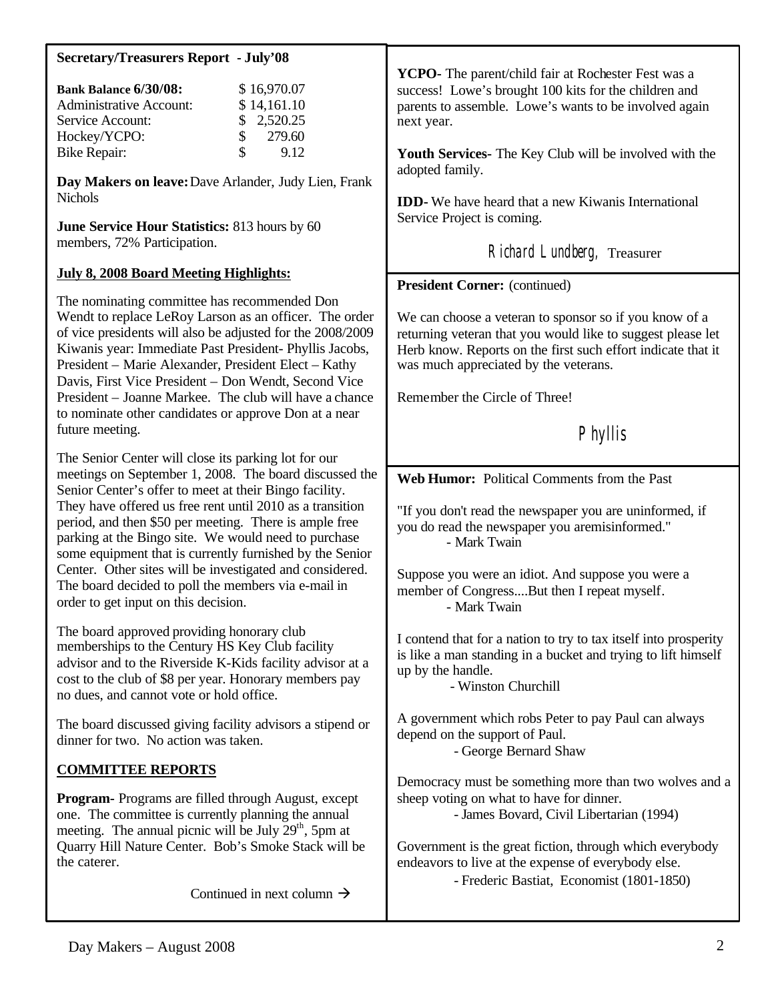| <b>Secretary/Treasurers Report - July'08</b>                                                                                                                                                                                                                                                                                                                                                                                                                       |                                                                                                                                                                                                                                                                 |
|--------------------------------------------------------------------------------------------------------------------------------------------------------------------------------------------------------------------------------------------------------------------------------------------------------------------------------------------------------------------------------------------------------------------------------------------------------------------|-----------------------------------------------------------------------------------------------------------------------------------------------------------------------------------------------------------------------------------------------------------------|
| \$16,970.07<br><b>Bank Balance 6/30/08:</b><br><b>Administrative Account:</b><br>\$14,161.10<br>Service Account:<br>2,520.25<br>\$<br>Hockey/YCPO:<br>\$<br>279.60<br>\$<br><b>Bike Repair:</b><br>9.12                                                                                                                                                                                                                                                            | <b>YCPO-</b> The parent/child fair at Rochester Fest was a<br>success! Lowe's brought 100 kits for the children and<br>parents to assemble. Lowe's wants to be involved again<br>next year.<br>Youth Services- The Key Club will be involved with the           |
| Day Makers on leave: Dave Arlander, Judy Lien, Frank                                                                                                                                                                                                                                                                                                                                                                                                               | adopted family.                                                                                                                                                                                                                                                 |
| <b>Nichols</b><br>June Service Hour Statistics: 813 hours by 60<br>members, 72% Participation.                                                                                                                                                                                                                                                                                                                                                                     | <b>IDD-</b> We have heard that a new Kiwanis International<br>Service Project is coming.<br>Richard Lundberg, Treasurer                                                                                                                                         |
| <b>July 8, 2008 Board Meeting Highlights:</b>                                                                                                                                                                                                                                                                                                                                                                                                                      | <b>President Corner:</b> (continued)                                                                                                                                                                                                                            |
| The nominating committee has recommended Don<br>Wendt to replace LeRoy Larson as an officer. The order<br>of vice presidents will also be adjusted for the 2008/2009<br>Kiwanis year: Immediate Past President- Phyllis Jacobs,<br>President – Marie Alexander, President Elect – Kathy<br>Davis, First Vice President - Don Wendt, Second Vice<br>President - Joanne Markee. The club will have a chance<br>to nominate other candidates or approve Don at a near | We can choose a veteran to sponsor so if you know of a<br>returning veteran that you would like to suggest please let<br>Herb know. Reports on the first such effort indicate that it<br>was much appreciated by the veterans.<br>Remember the Circle of Three! |
| future meeting.                                                                                                                                                                                                                                                                                                                                                                                                                                                    | Phyllis                                                                                                                                                                                                                                                         |
| The Senior Center will close its parking lot for our<br>meetings on September 1, 2008. The board discussed the                                                                                                                                                                                                                                                                                                                                                     | Web Humor: Political Comments from the Past                                                                                                                                                                                                                     |
| Senior Center's offer to meet at their Bingo facility.<br>They have offered us free rent until 2010 as a transition<br>period, and then \$50 per meeting. There is ample free<br>parking at the Bingo site. We would need to purchase<br>some equipment that is currently furnished by the Senior                                                                                                                                                                  | "If you don't read the newspaper you are uninformed, if<br>you do read the newspaper you aremisinformed."<br>- Mark Twain                                                                                                                                       |
| Center. Other sites will be investigated and considered.<br>The board decided to poll the members via e-mail in<br>order to get input on this decision.                                                                                                                                                                                                                                                                                                            | Suppose you were an idiot. And suppose you were a<br>member of CongressBut then I repeat myself.<br>- Mark Twain                                                                                                                                                |
| The board approved providing honorary club<br>memberships to the Century HS Key Club facility<br>advisor and to the Riverside K-Kids facility advisor at a<br>cost to the club of \$8 per year. Honorary members pay<br>no dues, and cannot vote or hold office.                                                                                                                                                                                                   | I contend that for a nation to try to tax itself into prosperity<br>is like a man standing in a bucket and trying to lift himself<br>up by the handle.<br>- Winston Churchill                                                                                   |
| The board discussed giving facility advisors a stipend or<br>dinner for two. No action was taken.                                                                                                                                                                                                                                                                                                                                                                  | A government which robs Peter to pay Paul can always<br>depend on the support of Paul.<br>- George Bernard Shaw                                                                                                                                                 |
| <b>COMMITTEE REPORTS</b>                                                                                                                                                                                                                                                                                                                                                                                                                                           | Democracy must be something more than two wolves and a                                                                                                                                                                                                          |
| <b>Program-</b> Programs are filled through August, except<br>one. The committee is currently planning the annual<br>meeting. The annual picnic will be July 29 <sup>th</sup> , 5pm at                                                                                                                                                                                                                                                                             | sheep voting on what to have for dinner.<br>- James Bovard, Civil Libertarian (1994)                                                                                                                                                                            |
| Quarry Hill Nature Center. Bob's Smoke Stack will be<br>the caterer.                                                                                                                                                                                                                                                                                                                                                                                               | Government is the great fiction, through which everybody<br>endeavors to live at the expense of everybody else.                                                                                                                                                 |
| Continued in next column $\rightarrow$                                                                                                                                                                                                                                                                                                                                                                                                                             | - Frederic Bastiat, Economist (1801-1850)                                                                                                                                                                                                                       |